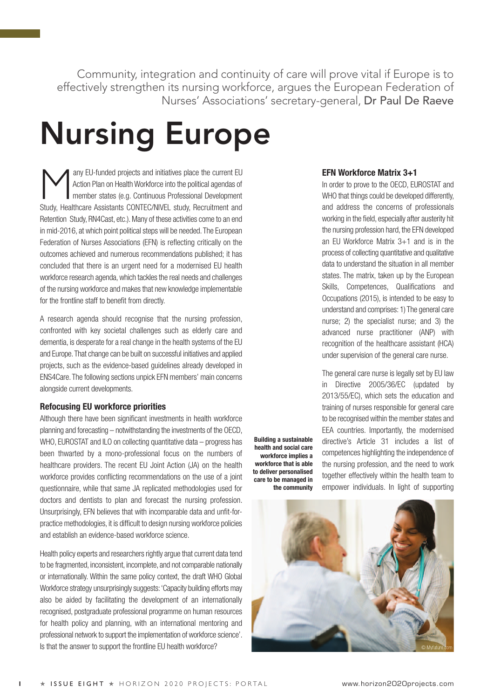Community, integration and continuity of care will prove vital if Europe is to effectively strengthen its nursing workforce, argues the European Federation of Nurses' Associations' secretary-general, Dr Paul De Raeve

> **Building a sustainable health and social care workforce implies a workforce that is able to deliver personalised care to be managed in the community**

# **Nursing Europe**

Action Plan on Health Workforce into the political agendas of<br>
member states (e.g. Continuous Professional Development Action Plan on Health Workforce into the political agendas of Study, Healthcare Assistants CONTEC/NIVEL study, Recruitment and Retention Study, RN4Cast, etc.). Many of these activities come to an end in mid-2016, at which point political steps will be needed. The European Federation of Nurses Associations (EFN) is reflecting critically on the outcomes achieved and numerous recommendations published; it has concluded that there is an urgent need for a modernised EU health workforce research agenda, which tackles the real needs and challenges of the nursing workforce and makes that new knowledge implementable for the frontline staff to benefit from directly.

A research agenda should recognise that the nursing profession, confronted with key societal challenges such as elderly care and dementia, is desperate for a real change in the health systems of the EU and Europe. That change can be built on successful initiatives and applied projects, such as the evidence-based guidelines already developed in ENS4Care. The following sections unpick EFN members' main concerns alongside current developments.

# **Refocusing EU workforce priorities**

Although there have been significant investments in health workforce planning and forecasting – notwithstanding the investments of the OECD, WHO, EUROSTAT and ILO on collecting quantitative data – progress has been thwarted by a mono-professional focus on the numbers of healthcare providers. The recent EU Joint Action (JA) on the health workforce provides conflicting recommendations on the use of a joint questionnaire, while that same JA replicated methodologies used for doctors and dentists to plan and forecast the nursing profession. Unsurprisingly, EFN believes that with incomparable data and unfit-forpractice methodologies, it is difficult to design nursing workforce policies and establish an evidence-based workforce science.

Health policy experts and researchers rightly argue that current data tend to be fragmented, inconsistent, incomplete, and not comparable nationally or internationally. Within the same policy context, the draft WHO Global Workforce strategy unsurprisingly suggests: 'Capacity building efforts may also be aided by facilitating the development of an internationally recognised, postgraduate professional programme on human resources for health policy and planning, with an international mentoring and professional network to support the implementation of workforce science'. Is that the answer to support the frontline EU health workforce?

# **EFN Workforce Matrix 3+1**

In order to prove to the OECD, EUROSTAT and WHO that things could be developed differently. and address the concerns of professionals working in the field, especially after austerity hit the nursing profession hard, the EFN developed an EU Workforce Matrix 3+1 and is in the process of collecting quantitative and qualitative data to understand the situation in all member states. The matrix, taken up by the European Skills, Competences, Qualifications and Occupations (2015), is intended to be easy to understand and comprises: 1) The general care nurse; 2) the specialist nurse; and 3) the advanced nurse practitioner (ANP) with recognition of the healthcare assistant (HCA) under supervision of the general care nurse.

The general care nurse is legally set by EU law in Directive 2005/36/EC (updated by 2013/55/EC), which sets the education and training of nurses responsible for general care to be recognised within the member states and EEA countries. Importantly, the modernised directive's Article 31 includes a list of competences highlighting the independence of the nursing profession, and the need to work together effectively within the health team to empower individuals. In light of supporting

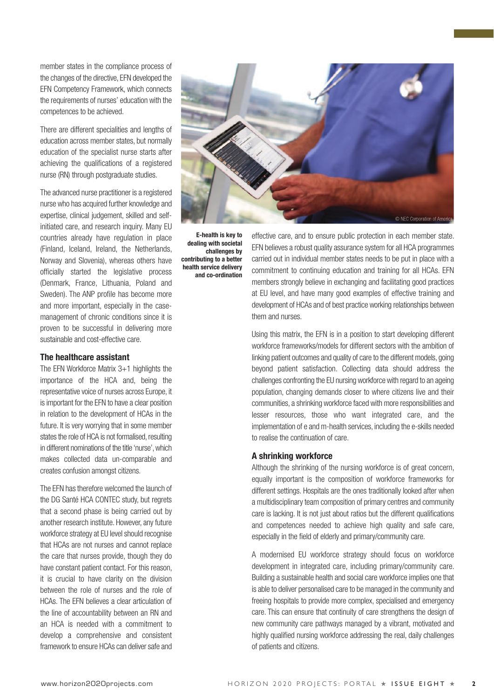member states in the compliance process of the changes of the directive, EFN developed the EFN Competency Framework, which connects the requirements of nurses' education with the competences to be achieved.

There are different specialities and lengths of education across member states, but normally education of the specialist nurse starts after achieving the qualifications of a registered nurse (RN) through postgraduate studies.

The advanced nurse practitioner is a registered nurse who has acquired further knowledge and expertise, clinical judgement, skilled and selfinitiated care, and research inquiry. Many EU countries already have regulation in place (Finland, Iceland, Ireland, the Netherlands, Norway and Slovenia), whereas others have officially started the legislative process (Denmark, France, Lithuania, Poland and Sweden). The ANP profile has become more and more important, especially in the casemanagement of chronic conditions since it is proven to be successful in delivering more sustainable and cost-effective care.

# **The healthcare assistant**

The EFN Workforce Matrix 3+1 highlights the importance of the HCA and, being the representative voice of nurses across Europe, it is important for the EFN to have a clear position in relation to the development of HCAs in the future. It is very worrying that in some member states the role of HCA is not formalised, resulting in different nominations of the title 'nurse', which makes collected data un-comparable and creates confusion amongst citizens.

The EFN has therefore welcomed the launch of the DG Santé HCA CONTEC study, but regrets that a second phase is being carried out by another research institute. However, any future workforce strategy at EU level should recognise that HCAs are not nurses and cannot replace the care that nurses provide, though they do have constant patient contact. For this reason, it is crucial to have clarity on the division between the role of nurses and the role of HCAs. The EFN believes a clear articulation of the line of accountability between an RN and an HCA is needed with a commitment to develop a comprehensive and consistent framework to ensure HCAs can deliver safe and



**E-health is key to dealing with societal challenges by contributing to a better health service delivery and co-ordination**

effective care, and to ensure public protection in each member state. EFN believes a robust quality assurance system for all HCA programmes carried out in individual member states needs to be put in place with a commitment to continuing education and training for all HCAs. EFN members strongly believe in exchanging and facilitating good practices at EU level, and have many good examples of effective training and development of HCAs and of best practice working relationships between them and nurses.

Using this matrix, the EFN is in a position to start developing different workforce frameworks/models for different sectors with the ambition of linking patient outcomes and quality of care to the different models, going beyond patient satisfaction. Collecting data should address the challenges confronting the EU nursing workforce with regard to an ageing population, changing demands closer to where citizens live and their communities, a shrinking workforce faced with more responsibilities and lesser resources, those who want integrated care, and the implementation of e and m-health services, including the e-skills needed to realise the continuation of care.

#### **A shrinking workforce**

Although the shrinking of the nursing workforce is of great concern, equally important is the composition of workforce frameworks for different settings. Hospitals are the ones traditionally looked after when a multidisciplinary team composition of primary centres and community care is lacking. It is not just about ratios but the different qualifications and competences needed to achieve high quality and safe care, especially in the field of elderly and primary/community care.

A modernised EU workforce strategy should focus on workforce development in integrated care, including primary/community care. Building a sustainable health and social care workforce implies one that is able to deliver personalised care to be managed in the community and freeing hospitals to provide more complex, specialised and emergency care. This can ensure that continuity of care strengthens the design of new community care pathways managed by a vibrant, motivated and highly qualified nursing workforce addressing the real, daily challenges of patients and citizens.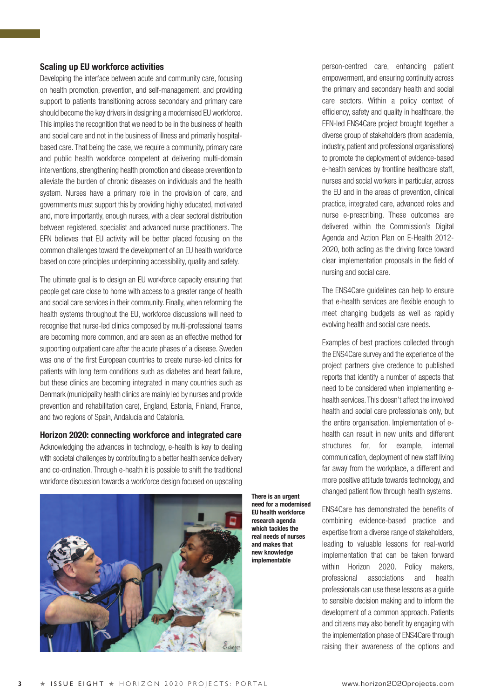# **Scaling up EU workforce activities**

Developing the interface between acute and community care, focusing on health promotion, prevention, and self-management, and providing support to patients transitioning across secondary and primary care should become the key drivers in designing a modernised EU workforce. This implies the recognition that we need to be in the business of health and social care and not in the business of illness and primarily hospitalbased care. That being the case, we require a community, primary care and public health workforce competent at delivering multi-domain interventions, strengthening health promotion and disease prevention to alleviate the burden of chronic diseases on individuals and the health system. Nurses have a primary role in the provision of care, and governments must support this by providing highly educated, motivated and, more importantly, enough nurses, with a clear sectoral distribution between registered, specialist and advanced nurse practitioners. The EFN believes that EU activity will be better placed focusing on the common challenges toward the development of an EU health workforce based on core principles underpinning accessibility, quality and safety.

The ultimate goal is to design an EU workforce capacity ensuring that people get care close to home with access to a greater range of health and social care services in their community. Finally, when reforming the health systems throughout the EU, workforce discussions will need to recognise that nurse-led clinics composed by multi-professional teams are becoming more common, and are seen as an effective method for supporting outpatient care after the acute phases of a disease. Sweden was one of the first European countries to create nurse-led clinics for patients with long term conditions such as diabetes and heart failure, but these clinics are becoming integrated in many countries such as Denmark (municipality health clinics are mainly led by nurses and provide prevention and rehabilitation care), England, Estonia, Finland, France, and two regions of Spain, Andalucía and Catalonia.

# **Horizon 2020: connecting workforce and integrated care**

Acknowledging the advances in technology, e-health is key to dealing with societal challenges by contributing to a better health service delivery and co-ordination. Through e-health it is possible to shift the traditional workforce discussion towards a workforce design focused on upscaling



**There is an urgent need for a modernised EU health workforce research agenda which tackles the real needs of nurses and makes that new knowledge implementable**

person-centred care, enhancing patient empowerment, and ensuring continuity across the primary and secondary health and social care sectors. Within a policy context of efficiency, safety and quality in healthcare, the EFN-led ENS4Care project brought together a diverse group of stakeholders (from academia, industry, patient and professional organisations) to promote the deployment of evidence-based e-health services by frontline healthcare staff, nurses and social workers in particular, across the EU and in the areas of prevention, clinical practice, integrated care, advanced roles and nurse e-prescribing. These outcomes are delivered within the Commission's Digital Agenda and Action Plan on E-Health 2012- 2020, both acting as the driving force toward clear implementation proposals in the field of nursing and social care.

The ENS4Care guidelines can help to ensure that e-health services are flexible enough to meet changing budgets as well as rapidly evolving health and social care needs.

Examples of best practices collected through the ENS4Care survey and the experience of the project partners give credence to published reports that identify a number of aspects that need to be considered when implementing ehealth services. This doesn't affect the involved health and social care professionals only, but the entire organisation. Implementation of ehealth can result in new units and different structures for, for example, internal communication, deployment of new staff living far away from the workplace, a different and more positive attitude towards technology, and changed patient flow through health systems.

ENS4Care has demonstrated the benefits of combining evidence-based practice and expertise from a diverse range of stakeholders, leading to valuable lessons for real-world implementation that can be taken forward within Horizon 2020. Policy makers, professional associations and health professionals can use these lessons as a guide to sensible decision making and to inform the development of a common approach. Patients and citizens may also benefit by engaging with the implementation phase of ENS4Care through raising their awareness of the options and